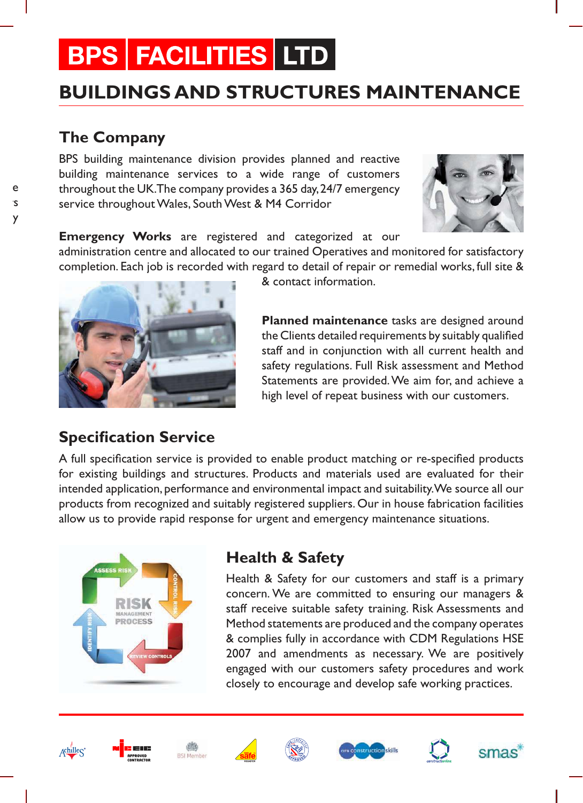# **BPS FACILITIES LTD**

# **BUILDINGS AND STRUCTURES MAINTENANCE**

## **The Company**

eactive  $S$  $\mathsf{y}$ 

BPS building maintenance division provides planned and reactive building maintenance services to a wide range of customers throughout the UK. The company provides a 365 day, 24/7 emergency service throughout Wales, South West & M4 Corridor



**Emergency Works** are registered and categorized at our

administration centre and allocated to our trained Operatives and monitored for satisfactory completion. Each job is recorded with regard to detail of repair or remedial works, full site &



& contact information.

**Planned maintenance** tasks are designed around the Clients detailed requirements by suitably qualified staff and in conjunction with all current health and safety regulations. Full Risk assessment and Method Statements are provided. We aim for, and achieve a high level of repeat business with our customers.

## **Specification Service**

A full specification service is provided to enable product matching or re-specified products for existing buildings and structures. Products and materials used are evaluated for their intended application, performance and environmental impact and suitability. We source all our products from recognized and suitably registered suppliers. Our in house fabrication facilities allow us to provide rapid response for urgent and emergency maintenance situations.



# **Health & Safety**

Health & Safety for our customers and staff is a primary concern. We are committed to ensuring our managers & staff receive suitable safety training. Risk Assessments and Method statements are produced and the company operates & complies fully in accordance with CDM Regulations HSE 2007 and amendments as necessary. We are positively engaged with our customers safety procedures and work closely to encourage and develop safe working practices.